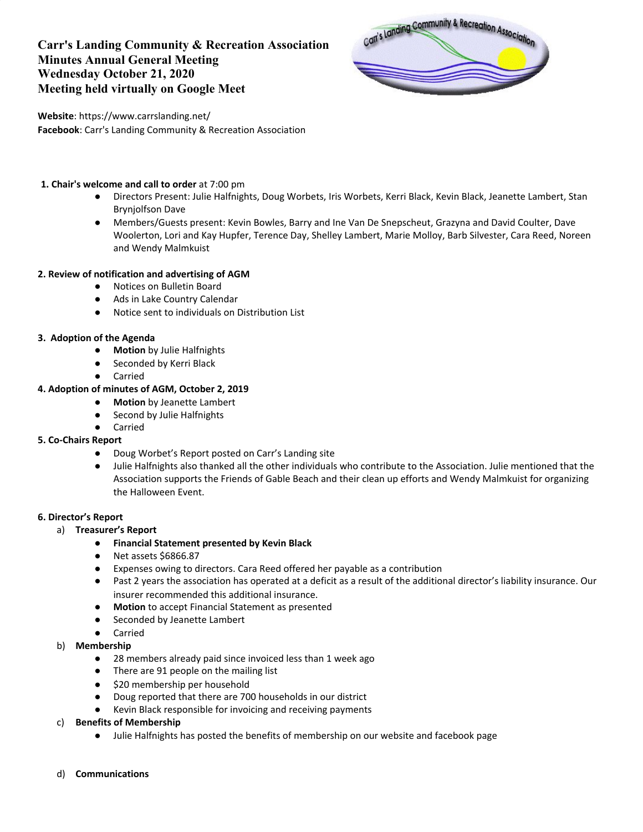# **Carr's Landing Community & Recreation Association Minutes Annual General Meeting Wednesday October 21, 2020 Meeting held virtually on Google Meet**



**Website**: https://www.carrslanding.net/ **Facebook**: Carr's Landing Community & Recreation Association

### **1. Chair's welcome and call to order** at 7:00 pm

- Directors Present: Julie Halfnights, Doug Worbets, Iris Worbets, Kerri Black, Kevin Black, Jeanette Lambert, Stan Brynjolfson Dave
- Members/Guests present: Kevin Bowles, Barry and Ine Van De Snepscheut, Grazyna and David Coulter, Dave Woolerton, Lori and Kay Hupfer, Terence Day, Shelley Lambert, Marie Molloy, Barb Silvester, Cara Reed, Noreen and Wendy Malmkuist

## **2. Review of notification and advertising of AGM**

- Notices on Bulletin Board
- Ads in Lake Country Calendar
- Notice sent to individuals on Distribution List

## **3. Adoption of the Agenda**

- **Motion** by Julie Halfnights
- Seconded by Kerri Black
- Carried

## **4. Adoption of minutes of AGM, October 2, 2019**

- **Motion** by Jeanette Lambert
- Second by Julie Halfnights
- **Carried**

#### **5. Co-Chairs Report**

- Doug Worbet's Report posted on Carr's Landing site
- Julie Halfnights also thanked all the other individuals who contribute to the Association. Julie mentioned that the Association supports the Friends of Gable Beach and their clean up efforts and Wendy Malmkuist for organizing the Halloween Event.

#### **6. Director's Report**

- a) **Treasurer's Report**
	- **Financial Statement presented by Kevin Black**
	- Net assets \$6866.87
	- Expenses owing to directors. Cara Reed offered her payable as a contribution
	- Past 2 years the association has operated at a deficit as a result of the additional director's liability insurance. Our insurer recommended this additional insurance.
	- **Motion** to accept Financial Statement as presented
	- Seconded by Jeanette Lambert
	- Carried
- b) **Membership**
	- 28 members already paid since invoiced less than 1 week ago
	- There are 91 people on the mailing list
	- \$20 membership per household
	- Doug reported that there are 700 households in our district
	- Kevin Black responsible for invoicing and receiving payments
- c) **Benefits of Membership**
	- Julie Halfnights has posted the benefits of membership on our website and facebook page
- d) **Communications**